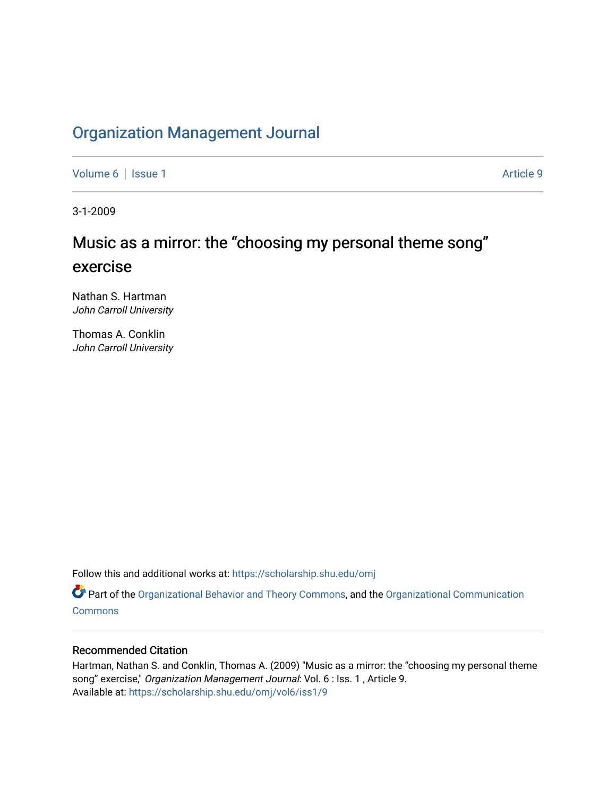# [Organization Management Journal](https://scholarship.shu.edu/omj)

[Volume 6](https://scholarship.shu.edu/omj/vol6) | [Issue 1](https://scholarship.shu.edu/omj/vol6/iss1) Article 9

3-1-2009

# Music as a mirror: the "choosing my personal theme song" exercise

Nathan S. Hartman John Carroll University

Thomas A. Conklin John Carroll University

Follow this and additional works at: [https://scholarship.shu.edu/omj](https://scholarship.shu.edu/omj?utm_source=scholarship.shu.edu%2Fomj%2Fvol6%2Fiss1%2F9&utm_medium=PDF&utm_campaign=PDFCoverPages) 

Part of the [Organizational Behavior and Theory Commons,](http://network.bepress.com/hgg/discipline/639?utm_source=scholarship.shu.edu%2Fomj%2Fvol6%2Fiss1%2F9&utm_medium=PDF&utm_campaign=PDFCoverPages) and the [Organizational Communication](http://network.bepress.com/hgg/discipline/335?utm_source=scholarship.shu.edu%2Fomj%2Fvol6%2Fiss1%2F9&utm_medium=PDF&utm_campaign=PDFCoverPages) **[Commons](http://network.bepress.com/hgg/discipline/335?utm_source=scholarship.shu.edu%2Fomj%2Fvol6%2Fiss1%2F9&utm_medium=PDF&utm_campaign=PDFCoverPages)** 

#### Recommended Citation

Hartman, Nathan S. and Conklin, Thomas A. (2009) "Music as a mirror: the ''choosing my personal theme song" exercise," Organization Management Journal: Vol. 6 : Iss. 1, Article 9. Available at: [https://scholarship.shu.edu/omj/vol6/iss1/9](https://scholarship.shu.edu/omj/vol6/iss1/9?utm_source=scholarship.shu.edu%2Fomj%2Fvol6%2Fiss1%2F9&utm_medium=PDF&utm_campaign=PDFCoverPages)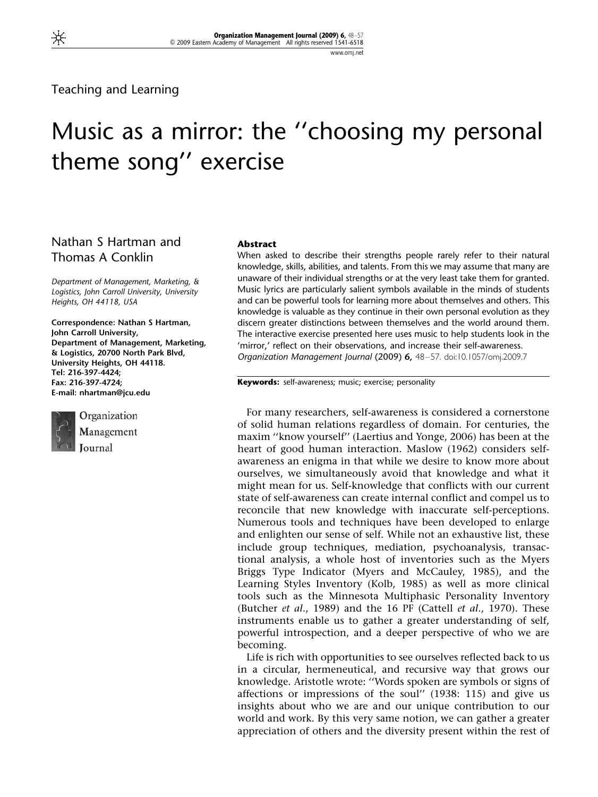Teaching and Learning

# Music as a mirror: the ''choosing my personal theme song'' exercise

## Nathan S Hartman and Thomas A Conklin

Department of Management, Marketing, & Logistics, John Carroll University, University Heights, OH 44118, USA

Correspondence: Nathan S Hartman, John Carroll University, Department of Management, Marketing, & Logistics, 20700 North Park Blvd, University Heights, OH 44118. Tel: 216-397-4424; Fax: 216-397-4724; E-mail: nhartman@jcu.edu

Organization Management Journal

#### Abstract

When asked to describe their strengths people rarely refer to their natural knowledge, skills, abilities, and talents. From this we may assume that many are unaware of their individual strengths or at the very least take them for granted. Music lyrics are particularly salient symbols available in the minds of students and can be powerful tools for learning more about themselves and others. This knowledge is valuable as they continue in their own personal evolution as they discern greater distinctions between themselves and the world around them. The interactive exercise presented here uses music to help students look in the 'mirror,' reflect on their observations, and increase their self-awareness. Organization Management Journal (2009) 6, 48–57. doi:10.1057/omj.2009.7

Keywords: self-awareness; music; exercise; personality

For many researchers, self-awareness is considered a cornerstone of solid human relations regardless of domain. For centuries, the maxim ''know yourself'' (Laertius and Yonge, 2006) has been at the heart of good human interaction. Maslow (1962) considers selfawareness an enigma in that while we desire to know more about ourselves, we simultaneously avoid that knowledge and what it might mean for us. Self-knowledge that conflicts with our current state of self-awareness can create internal conflict and compel us to reconcile that new knowledge with inaccurate self-perceptions. Numerous tools and techniques have been developed to enlarge and enlighten our sense of self. While not an exhaustive list, these include group techniques, mediation, psychoanalysis, transactional analysis, a whole host of inventories such as the Myers Briggs Type Indicator (Myers and McCauley, 1985), and the Learning Styles Inventory (Kolb, 1985) as well as more clinical tools such as the Minnesota Multiphasic Personality Inventory (Butcher et al., 1989) and the 16 PF (Cattell et al., 1970). These instruments enable us to gather a greater understanding of self, powerful introspection, and a deeper perspective of who we are becoming.

Life is rich with opportunities to see ourselves reflected back to us in a circular, hermeneutical, and recursive way that grows our knowledge. Aristotle wrote: ''Words spoken are symbols or signs of affections or impressions of the soul" (1938: 115) and give us insights about who we are and our unique contribution to our world and work. By this very same notion, we can gather a greater appreciation of others and the diversity present within the rest of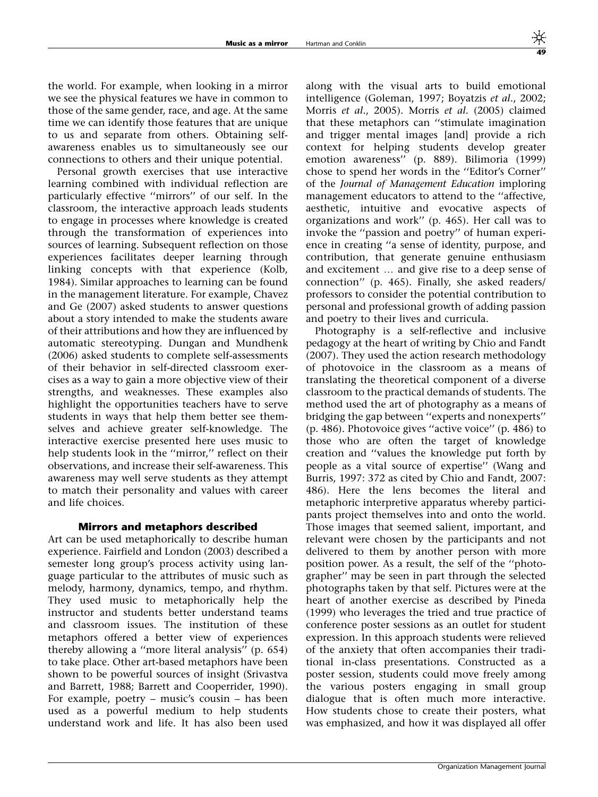the world. For example, when looking in a mirror we see the physical features we have in common to those of the same gender, race, and age. At the same time we can identify those features that are unique to us and separate from others. Obtaining selfawareness enables us to simultaneously see our connections to others and their unique potential.

Personal growth exercises that use interactive learning combined with individual reflection are particularly effective ''mirrors'' of our self. In the classroom, the interactive approach leads students to engage in processes where knowledge is created through the transformation of experiences into sources of learning. Subsequent reflection on those experiences facilitates deeper learning through linking concepts with that experience (Kolb, 1984). Similar approaches to learning can be found in the management literature. For example, Chavez and Ge (2007) asked students to answer questions about a story intended to make the students aware of their attributions and how they are influenced by automatic stereotyping. Dungan and Mundhenk (2006) asked students to complete self-assessments of their behavior in self-directed classroom exercises as a way to gain a more objective view of their strengths, and weaknesses. These examples also highlight the opportunities teachers have to serve students in ways that help them better see themselves and achieve greater self-knowledge. The interactive exercise presented here uses music to help students look in the ''mirror,'' reflect on their observations, and increase their self-awareness. This awareness may well serve students as they attempt to match their personality and values with career and life choices.

#### Mirrors and metaphors described

Art can be used metaphorically to describe human experience. Fairfield and London (2003) described a semester long group's process activity using language particular to the attributes of music such as melody, harmony, dynamics, tempo, and rhythm. They used music to metaphorically help the instructor and students better understand teams and classroom issues. The institution of these metaphors offered a better view of experiences thereby allowing a ''more literal analysis'' (p. 654) to take place. Other art-based metaphors have been shown to be powerful sources of insight (Srivastva and Barrett, 1988; Barrett and Cooperrider, 1990). For example, poetry – music's cousin – has been used as a powerful medium to help students understand work and life. It has also been used along with the visual arts to build emotional intelligence (Goleman, 1997; Boyatzis et al., 2002; Morris et al., 2005). Morris et al. (2005) claimed that these metaphors can ''stimulate imagination and trigger mental images [and] provide a rich context for helping students develop greater emotion awareness'' (p. 889). Bilimoria (1999) chose to spend her words in the ''Editor's Corner'' of the Journal of Management Education imploring management educators to attend to the ''affective, aesthetic, intuitive and evocative aspects of organizations and work'' (p. 465). Her call was to invoke the ''passion and poetry'' of human experience in creating ''a sense of identity, purpose, and contribution, that generate genuine enthusiasm and excitement  $\ldots$  and give rise to a deep sense of connection'' (p. 465). Finally, she asked readers/ professors to consider the potential contribution to personal and professional growth of adding passion and poetry to their lives and curricula.

Photography is a self-reflective and inclusive pedagogy at the heart of writing by Chio and Fandt (2007). They used the action research methodology of photovoice in the classroom as a means of translating the theoretical component of a diverse classroom to the practical demands of students. The method used the art of photography as a means of bridging the gap between ''experts and nonexperts'' (p. 486). Photovoice gives ''active voice'' (p. 486) to those who are often the target of knowledge creation and ''values the knowledge put forth by people as a vital source of expertise'' (Wang and Burris, 1997: 372 as cited by Chio and Fandt, 2007: 486). Here the lens becomes the literal and metaphoric interpretive apparatus whereby participants project themselves into and onto the world. Those images that seemed salient, important, and relevant were chosen by the participants and not delivered to them by another person with more position power. As a result, the self of the ''photographer'' may be seen in part through the selected photographs taken by that self. Pictures were at the heart of another exercise as described by Pineda (1999) who leverages the tried and true practice of conference poster sessions as an outlet for student expression. In this approach students were relieved of the anxiety that often accompanies their traditional in-class presentations. Constructed as a poster session, students could move freely among the various posters engaging in small group dialogue that is often much more interactive. How students chose to create their posters, what was emphasized, and how it was displayed all offer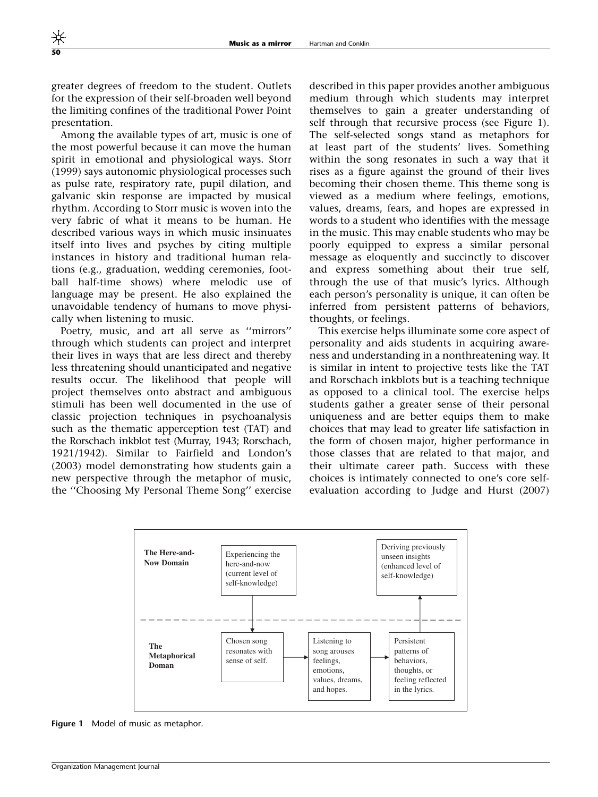greater degrees of freedom to the student. Outlets for the expression of their self-broaden well beyond the limiting confines of the traditional Power Point presentation.

Among the available types of art, music is one of the most powerful because it can move the human spirit in emotional and physiological ways. Storr (1999) says autonomic physiological processes such as pulse rate, respiratory rate, pupil dilation, and galvanic skin response are impacted by musical rhythm. According to Storr music is woven into the very fabric of what it means to be human. He described various ways in which music insinuates itself into lives and psyches by citing multiple instances in history and traditional human relations (e.g., graduation, wedding ceremonies, football half-time shows) where melodic use of language may be present. He also explained the unavoidable tendency of humans to move physically when listening to music.

Poetry, music, and art all serve as ''mirrors'' through which students can project and interpret their lives in ways that are less direct and thereby less threatening should unanticipated and negative results occur. The likelihood that people will project themselves onto abstract and ambiguous stimuli has been well documented in the use of classic projection techniques in psychoanalysis such as the thematic apperception test (TAT) and the Rorschach inkblot test (Murray, 1943; Rorschach, 1921/1942). Similar to Fairfield and London's (2003) model demonstrating how students gain a new perspective through the metaphor of music, the ''Choosing My Personal Theme Song'' exercise described in this paper provides another ambiguous medium through which students may interpret themselves to gain a greater understanding of self through that recursive process (see Figure 1). The self-selected songs stand as metaphors for at least part of the students' lives. Something within the song resonates in such a way that it rises as a figure against the ground of their lives becoming their chosen theme. This theme song is viewed as a medium where feelings, emotions, values, dreams, fears, and hopes are expressed in words to a student who identifies with the message in the music. This may enable students who may be poorly equipped to express a similar personal message as eloquently and succinctly to discover and express something about their true self, through the use of that music's lyrics. Although each person's personality is unique, it can often be inferred from persistent patterns of behaviors, thoughts, or feelings.

This exercise helps illuminate some core aspect of personality and aids students in acquiring awareness and understanding in a nonthreatening way. It is similar in intent to projective tests like the TAT and Rorschach inkblots but is a teaching technique as opposed to a clinical tool. The exercise helps students gather a greater sense of their personal uniqueness and are better equips them to make choices that may lead to greater life satisfaction in the form of chosen major, higher performance in those classes that are related to that major, and their ultimate career path. Success with these choices is intimately connected to one's core selfevaluation according to Judge and Hurst (2007)



Figure 1 Model of music as metaphor.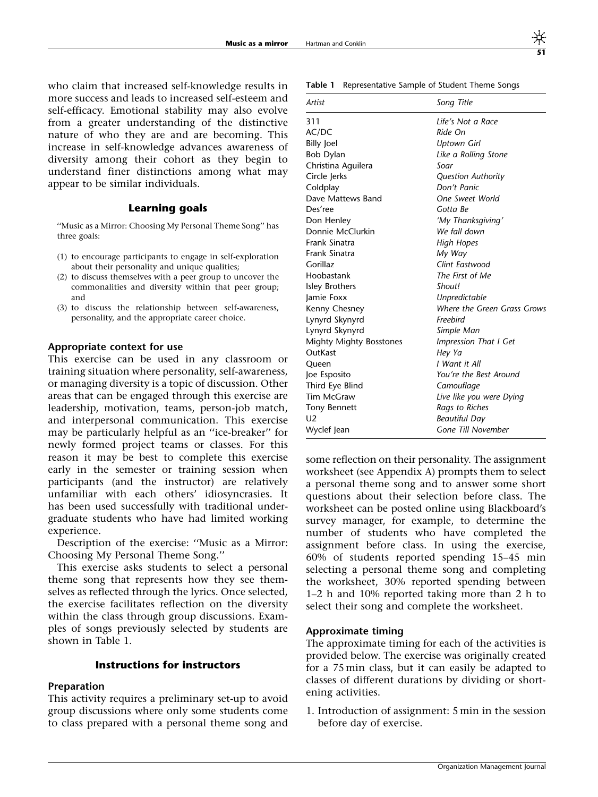who claim that increased self-knowledge results in more success and leads to increased self-esteem and self-efficacy. Emotional stability may also evolve from a greater understanding of the distinctive nature of who they are and are becoming. This increase in self-knowledge advances awareness of diversity among their cohort as they begin to understand finer distinctions among what may appear to be similar individuals.

#### Learning goals

''Music as a Mirror: Choosing My Personal Theme Song'' has three goals:

- (1) to encourage participants to engage in self-exploration about their personality and unique qualities;
- (2) to discuss themselves with a peer group to uncover the commonalities and diversity within that peer group; and
- (3) to discuss the relationship between self-awareness, personality, and the appropriate career choice.

#### Appropriate context for use

This exercise can be used in any classroom or training situation where personality, self-awareness, or managing diversity is a topic of discussion. Other areas that can be engaged through this exercise are leadership, motivation, teams, person-job match, and interpersonal communication. This exercise may be particularly helpful as an ''ice-breaker'' for newly formed project teams or classes. For this reason it may be best to complete this exercise early in the semester or training session when participants (and the instructor) are relatively unfamiliar with each others' idiosyncrasies. It has been used successfully with traditional undergraduate students who have had limited working experience.

Description of the exercise: ''Music as a Mirror: Choosing My Personal Theme Song.''

This exercise asks students to select a personal theme song that represents how they see themselves as reflected through the lyrics. Once selected, the exercise facilitates reflection on the diversity within the class through group discussions. Examples of songs previously selected by students are shown in Table 1.

#### Instructions for instructors

#### Preparation

This activity requires a preliminary set-up to avoid group discussions where only some students come to class prepared with a personal theme song and

|  | <b>Table 1</b> Representative Sample of Student Theme Songs |  |  |  |  |
|--|-------------------------------------------------------------|--|--|--|--|
|--|-------------------------------------------------------------|--|--|--|--|

| Artist                         | Song Title                         |  |
|--------------------------------|------------------------------------|--|
| 311                            | Life's Not a Race                  |  |
| AC/DC                          | Ride On                            |  |
| <b>Billy Joel</b>              | Uptown Girl                        |  |
| Bob Dylan                      | Like a Rolling Stone               |  |
| Christina Aquilera             | Soar                               |  |
| Circle Jerks                   | <b>Question Authority</b>          |  |
| Coldplay                       | Don't Panic                        |  |
| Dave Mattews Band              | One Sweet World                    |  |
| Des'ree                        | Gotta Be                           |  |
| Don Henley                     | 'My Thanksgiving'                  |  |
| Donnie McClurkin               | We fall down                       |  |
| Frank Sinatra                  | High Hopes                         |  |
| Frank Sinatra                  | My Way                             |  |
| Gorillaz                       | Clint Eastwood                     |  |
| Hoobastank                     | The First of Me                    |  |
| <b>Isley Brothers</b>          | Shout!                             |  |
| Jamie Foxx                     | <i><u><b>Unpredictable</b></u></i> |  |
| Kenny Chesney                  | Where the Green Grass Grows        |  |
| Lynyrd Skynyrd                 | Freebird                           |  |
| Lynyrd Skynyrd                 | Simple Man                         |  |
| <b>Mighty Mighty Bosstones</b> | Impression That I Get              |  |
| OutKast                        | Hey Ya                             |  |
| Queen                          | I Want it All                      |  |
| Joe Esposito                   | You're the Best Around             |  |
| Third Eye Blind                | Camouflage                         |  |
| <b>Tim McGraw</b>              | Live like you were Dying           |  |
| <b>Tony Bennett</b>            | Rags to Riches                     |  |
| U2                             | <b>Beautiful Day</b>               |  |
| Wyclef Jean                    | Gone Till November                 |  |

some reflection on their personality. The assignment worksheet (see Appendix A) prompts them to select a personal theme song and to answer some short questions about their selection before class. The worksheet can be posted online using Blackboard's survey manager, for example, to determine the number of students who have completed the assignment before class. In using the exercise, 60% of students reported spending 15–45 min selecting a personal theme song and completing the worksheet, 30% reported spending between 1–2 h and 10% reported taking more than 2 h to select their song and complete the worksheet.

#### Approximate timing

The approximate timing for each of the activities is provided below. The exercise was originally created for a 75 min class, but it can easily be adapted to classes of different durations by dividing or shortening activities.

1. Introduction of assignment: 5 min in the session before day of exercise.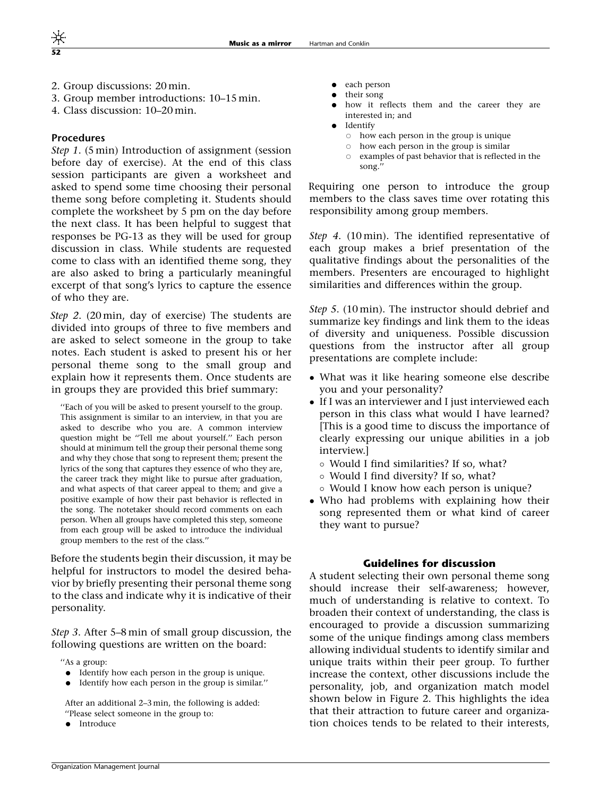52

- 2. Group discussions: 20 min.
- 3. Group member introductions: 10–15 min.
- 4. Class discussion: 10–20 min.

#### **Procedures**

Step 1. (5 min) Introduction of assignment (session before day of exercise). At the end of this class session participants are given a worksheet and asked to spend some time choosing their personal theme song before completing it. Students should complete the worksheet by 5 pm on the day before the next class. It has been helpful to suggest that responses be PG-13 as they will be used for group discussion in class. While students are requested come to class with an identified theme song, they are also asked to bring a particularly meaningful excerpt of that song's lyrics to capture the essence of who they are.

Step 2. (20 min, day of exercise) The students are divided into groups of three to five members and are asked to select someone in the group to take notes. Each student is asked to present his or her personal theme song to the small group and explain how it represents them. Once students are in groups they are provided this brief summary:

''Each of you will be asked to present yourself to the group. This assignment is similar to an interview, in that you are asked to describe who you are. A common interview question might be ''Tell me about yourself.'' Each person should at minimum tell the group their personal theme song and why they chose that song to represent them; present the lyrics of the song that captures they essence of who they are, the career track they might like to pursue after graduation, and what aspects of that career appeal to them; and give a positive example of how their past behavior is reflected in the song. The notetaker should record comments on each person. When all groups have completed this step, someone from each group will be asked to introduce the individual group members to the rest of the class.''

Before the students begin their discussion, it may be helpful for instructors to model the desired behavior by briefly presenting their personal theme song to the class and indicate why it is indicative of their personality.

Step 3. After 5–8 min of small group discussion, the following questions are written on the board:

''As a group:

- $\bullet$  Identify how each person in the group is unique.
- Identify how each person in the group is similar."

After an additional 2–3 min, the following is added: ''Please select someone in the group to:

 $\bullet$  Introduce

- $\bullet$  each person
- their song
- how it reflects them and the career they are interested in; and
- **Identify** 
	- $\circ$  how each person in the group is unique
	- $\circ$  how each person in the group is similar
	- $\circ$  examples of past behavior that is reflected in the song.''

Requiring one person to introduce the group members to the class saves time over rotating this responsibility among group members.

Step 4. (10 min). The identified representative of each group makes a brief presentation of the qualitative findings about the personalities of the members. Presenters are encouraged to highlight similarities and differences within the group.

Step 5. (10 min). The instructor should debrief and summarize key findings and link them to the ideas of diversity and uniqueness. Possible discussion questions from the instructor after all group presentations are complete include:

- What was it like hearing someone else describe you and your personality?
- If I was an interviewer and I just interviewed each person in this class what would I have learned? [This is a good time to discuss the importance of clearly expressing our unique abilities in a job interview.]
	- Would I find similarities? If so, what?
	- Would I find diversity? If so, what?
	- Would I know how each person is unique?
- Who had problems with explaining how their song represented them or what kind of career they want to pursue?

#### Guidelines for discussion

A student selecting their own personal theme song should increase their self-awareness; however, much of understanding is relative to context. To broaden their context of understanding, the class is encouraged to provide a discussion summarizing some of the unique findings among class members allowing individual students to identify similar and unique traits within their peer group. To further increase the context, other discussions include the personality, job, and organization match model shown below in Figure 2. This highlights the idea that their attraction to future career and organization choices tends to be related to their interests,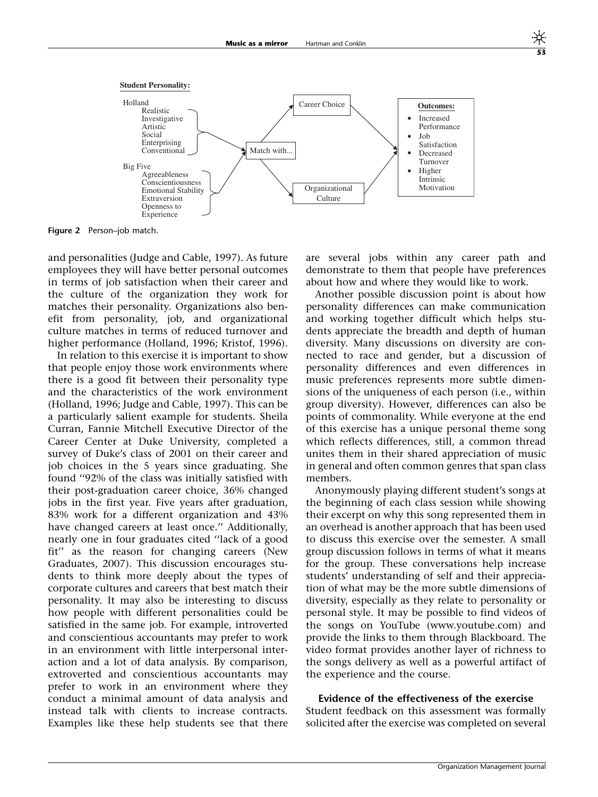

Figure 2 Person-job match.

and personalities (Judge and Cable, 1997). As future employees they will have better personal outcomes in terms of job satisfaction when their career and the culture of the organization they work for matches their personality. Organizations also benefit from personality, job, and organizational culture matches in terms of reduced turnover and higher performance (Holland, 1996; Kristof, 1996).

In relation to this exercise it is important to show that people enjoy those work environments where there is a good fit between their personality type and the characteristics of the work environment (Holland, 1996; Judge and Cable, 1997). This can be a particularly salient example for students. Sheila Curran, Fannie Mitchell Executive Director of the Career Center at Duke University, completed a survey of Duke's class of 2001 on their career and job choices in the 5 years since graduating. She found ''92% of the class was initially satisfied with their post-graduation career choice, 36% changed jobs in the first year. Five years after graduation, 83% work for a different organization and 43% have changed careers at least once.'' Additionally, nearly one in four graduates cited ''lack of a good fit'' as the reason for changing careers (New Graduates, 2007). This discussion encourages students to think more deeply about the types of corporate cultures and careers that best match their personality. It may also be interesting to discuss how people with different personalities could be satisfied in the same job. For example, introverted and conscientious accountants may prefer to work in an environment with little interpersonal interaction and a lot of data analysis. By comparison, extroverted and conscientious accountants may prefer to work in an environment where they conduct a minimal amount of data analysis and instead talk with clients to increase contracts. Examples like these help students see that there are several jobs within any career path and demonstrate to them that people have preferences about how and where they would like to work.

Another possible discussion point is about how personality differences can make communication and working together difficult which helps students appreciate the breadth and depth of human diversity. Many discussions on diversity are connected to race and gender, but a discussion of personality differences and even differences in music preferences represents more subtle dimensions of the uniqueness of each person (i.e., within group diversity). However, differences can also be points of commonality. While everyone at the end of this exercise has a unique personal theme song which reflects differences, still, a common thread unites them in their shared appreciation of music in general and often common genres that span class members.

Anonymously playing different student's songs at the beginning of each class session while showing their excerpt on why this song represented them in an overhead is another approach that has been used to discuss this exercise over the semester. A small group discussion follows in terms of what it means for the group. These conversations help increase students' understanding of self and their appreciation of what may be the more subtle dimensions of diversity, especially as they relate to personality or personal style. It may be possible to find videos of the songs on YouTube (www.youtube.com) and provide the links to them through Blackboard. The video format provides another layer of richness to the songs delivery as well as a powerful artifact of the experience and the course.

#### Evidence of the effectiveness of the exercise

Student feedback on this assessment was formally solicited after the exercise was completed on several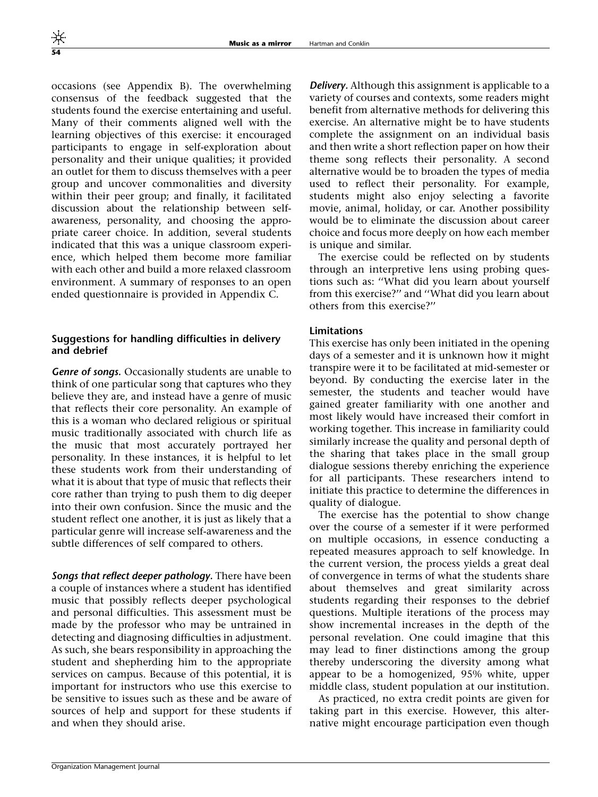occasions (see Appendix B). The overwhelming consensus of the feedback suggested that the students found the exercise entertaining and useful. Many of their comments aligned well with the learning objectives of this exercise: it encouraged participants to engage in self-exploration about personality and their unique qualities; it provided an outlet for them to discuss themselves with a peer group and uncover commonalities and diversity within their peer group; and finally, it facilitated discussion about the relationship between selfawareness, personality, and choosing the appropriate career choice. In addition, several students indicated that this was a unique classroom experience, which helped them become more familiar with each other and build a more relaxed classroom environment. A summary of responses to an open ended questionnaire is provided in Appendix C.

#### Suggestions for handling difficulties in delivery and debrief

**Genre of songs.** Occasionally students are unable to think of one particular song that captures who they believe they are, and instead have a genre of music that reflects their core personality. An example of this is a woman who declared religious or spiritual music traditionally associated with church life as the music that most accurately portrayed her personality. In these instances, it is helpful to let these students work from their understanding of what it is about that type of music that reflects their core rather than trying to push them to dig deeper into their own confusion. Since the music and the student reflect one another, it is just as likely that a particular genre will increase self-awareness and the subtle differences of self compared to others.

Songs that reflect deeper pathology. There have been a couple of instances where a student has identified music that possibly reflects deeper psychological and personal difficulties. This assessment must be made by the professor who may be untrained in detecting and diagnosing difficulties in adjustment. As such, she bears responsibility in approaching the student and shepherding him to the appropriate services on campus. Because of this potential, it is important for instructors who use this exercise to be sensitive to issues such as these and be aware of sources of help and support for these students if and when they should arise.

Delivery. Although this assignment is applicable to a variety of courses and contexts, some readers might benefit from alternative methods for delivering this exercise. An alternative might be to have students complete the assignment on an individual basis and then write a short reflection paper on how their theme song reflects their personality. A second alternative would be to broaden the types of media used to reflect their personality. For example, students might also enjoy selecting a favorite movie, animal, holiday, or car. Another possibility would be to eliminate the discussion about career choice and focus more deeply on how each member is unique and similar.

The exercise could be reflected on by students through an interpretive lens using probing questions such as: ''What did you learn about yourself from this exercise?'' and ''What did you learn about others from this exercise?''

#### Limitations

This exercise has only been initiated in the opening days of a semester and it is unknown how it might transpire were it to be facilitated at mid-semester or beyond. By conducting the exercise later in the semester, the students and teacher would have gained greater familiarity with one another and most likely would have increased their comfort in working together. This increase in familiarity could similarly increase the quality and personal depth of the sharing that takes place in the small group dialogue sessions thereby enriching the experience for all participants. These researchers intend to initiate this practice to determine the differences in quality of dialogue.

The exercise has the potential to show change over the course of a semester if it were performed on multiple occasions, in essence conducting a repeated measures approach to self knowledge. In the current version, the process yields a great deal of convergence in terms of what the students share about themselves and great similarity across students regarding their responses to the debrief questions. Multiple iterations of the process may show incremental increases in the depth of the personal revelation. One could imagine that this may lead to finer distinctions among the group thereby underscoring the diversity among what appear to be a homogenized, 95% white, upper middle class, student population at our institution.

As practiced, no extra credit points are given for taking part in this exercise. However, this alternative might encourage participation even though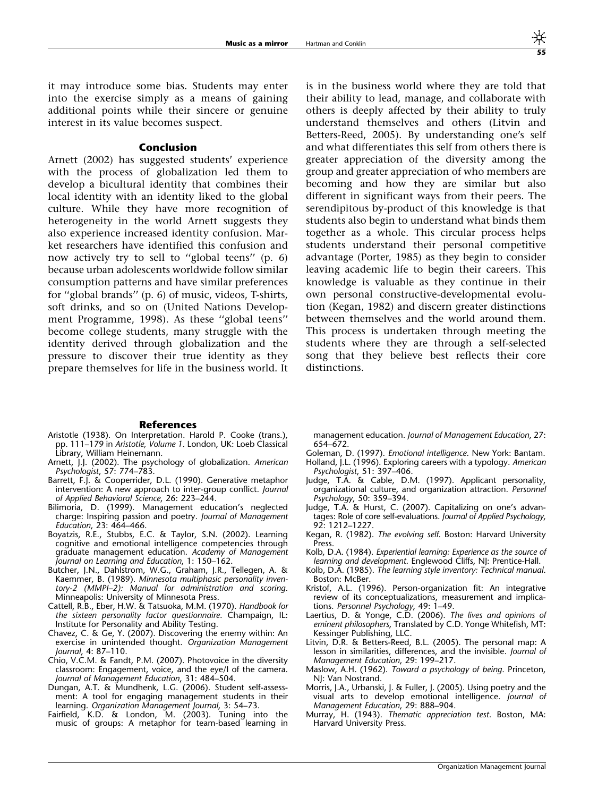it may introduce some bias. Students may enter into the exercise simply as a means of gaining additional points while their sincere or genuine interest in its value becomes suspect.

#### Conclusion

Arnett (2002) has suggested students' experience with the process of globalization led them to develop a bicultural identity that combines their local identity with an identity liked to the global culture. While they have more recognition of heterogeneity in the world Arnett suggests they also experience increased identity confusion. Market researchers have identified this confusion and now actively try to sell to ''global teens'' (p. 6) because urban adolescents worldwide follow similar consumption patterns and have similar preferences for ''global brands'' (p. 6) of music, videos, T-shirts, soft drinks, and so on (United Nations Development Programme, 1998). As these ''global teens'' become college students, many struggle with the identity derived through globalization and the pressure to discover their true identity as they prepare themselves for life in the business world. It is in the business world where they are told that their ability to lead, manage, and collaborate with others is deeply affected by their ability to truly understand themselves and others (Litvin and Betters-Reed, 2005). By understanding one's self and what differentiates this self from others there is greater appreciation of the diversity among the group and greater appreciation of who members are becoming and how they are similar but also different in significant ways from their peers. The serendipitous by-product of this knowledge is that students also begin to understand what binds them together as a whole. This circular process helps students understand their personal competitive advantage (Porter, 1985) as they begin to consider leaving academic life to begin their careers. This knowledge is valuable as they continue in their own personal constructive-developmental evolution (Kegan, 1982) and discern greater distinctions between themselves and the world around them. This process is undertaken through meeting the students where they are through a self-selected song that they believe best reflects their core distinctions.

#### References

- Aristotle (1938). On Interpretation. Harold P. Cooke (trans.), pp. 111–179 in Aristotle, Volume 1. London, UK: Loeb Classical Library, William Heinemann.
- Arnett, J.J. (2002). The psychology of globalization. *American* Psychologist, 57: 774–783.
- Barrett, F.J. & Cooperrider, D.L. (1990). Generative metaphor intervention: A new approach to inter-group conflict. Journal of Applied Behavioral Science, 26: 223–244.
- Bilimoria, D. (1999). Management education's neglected charge: Inspiring passion and poetry. Journal of Management Education, 23: 464–466.
- Boyatzis, R.E., Stubbs, E.C. & Taylor, S.N. (2002). Learning cognitive and emotional intelligence competencies through graduate management education. Academy of Management Journal on Learning and Education, 1: 150–162.
- Butcher, J.N., Dahlstrom, W.G., Graham, J.R., Tellegen, A. & Kaemmer, B. (1989). Minnesota multiphasic personality inventory-2 (MMPI–2): Manual for administration and scoring. Minneapolis: University of Minnesota Press.
- Cattell, R.B., Eber, H.W. & Tatsuoka, M.M. (1970). Handbook for the sixteen personality factor questionnaire. Champaign, IL: Institute for Personality and Ability Testing.
- Chavez, C. & Ge, Y. (2007). Discovering the enemy within: An exercise in unintended thought. Organization Management Journal, 4: 87–110.
- Chio, V.C.M. & Fandt, P.M. (2007). Photovoice in the diversity classroom: Engagement, voice, and the eye/I of the camera. Journal of Management Education, 31: 484–504.
- Dungan, A.T. & Mundhenk, L.G. (2006). Student self-assessment: A tool for engaging management students in their learning. Organization Management Journal, 3: 54–73.
- Fairfield, K.D. & London, M. (2003). Tuning into the music of groups: A metaphor for team-based learning in

management education. Journal of Management Education, 27: 654–672.

- Goleman, D. (1997). Emotional intelligence. New York: Bantam. Holland, J.L. (1996). Exploring careers with a typology. American
- Psychologist, 51: 397–406.
- Judge, T.A. & Cable, D.M. (1997). Applicant personality, organizational culture, and organization attraction. Personnel Psychology, 50: 359–394.
- Judge, T.A. & Hurst, C. (2007). Capitalizing on one's advantages: Role of core self-evaluations. Journal of Applied Psychology, 92: 1212–1227.
- Kegan, R. (1982). The evolving self. Boston: Harvard University Press.
- Kolb, D.A. (1984). Experiential learning: Experience as the source of learning and development. Englewood Cliffs, NJ: Prentice-Hall.
- Kolb, D.A. (1985). The learning style inventory: Technical manual. Boston: McBer.
- Kristof, A.L. (1996). Person-organization fit: An integrative review of its conceptualizations, measurement and implications. Personnel Psychology, 49: 1–49.
- Laertius, D. & Yonge, C.D. (2006). The lives and opinions of eminent philosophers, Translated by C.D. Yonge Whitefish, MT: Kessinger Publishing, LLC.
- Litvin, D.R. & Betters-Reed, B.L. (2005). The personal map: A lesson in similarities, differences, and the invisible. Journal of Management Education, 29: 199–217.
- Maslow, A.H. (1962). Toward a psychology of being. Princeton, NJ: Van Nostrand.
- Morris, J.A., Urbanski, J. & Fuller, J. (2005). Using poetry and the visual arts to develop emotional intelligence. Journal of Management Education, 29: 888–904.
- Murray, H. (1943). Thematic appreciation test. Boston, MA: Harvard University Press.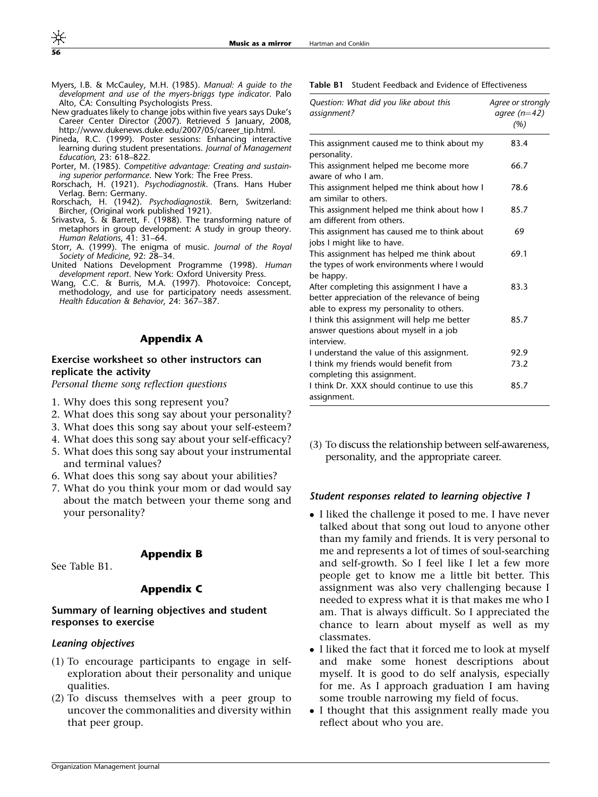- Myers, I.B. & McCauley, M.H. (1985). Manual: A guide to the development and use of the myers-briggs type indicator. Palo Alto, CA: Consulting Psychologists Press.
- New graduates likely to change jobs within five years says Duke's Career Center Director (2007). Retrieved 5 January, 2008, http://www.dukenews.duke.edu/2007/05/career\_tip.html.
- Pineda, R.C. (1999). Poster sessions: Enhancing interactive learning during student presentations. Journal of Management Education, 23: 618–822.
- Porter, M. (1985). Competitive advantage: Creating and sustaining superior performance. New York: The Free Press.
- Rorschach, H. (1921). Psychodiagnostik. (Trans. Hans Huber Verlag. Bern: Germany.
- Rorschach, H. (1942). Psychodiagnostik. Bern, Switzerland: Bircher, (Original work published 1921).
- Srivastva, S. & Barrett, F. (1988). The transforming nature of metaphors in group development: A study in group theory. Human Relations, 41: 31–64.
- Storr, A. (1999). The enigma of music. Journal of the Royal Society of Medicine, 92: 28–34.
- United Nations Development Programme (1998). Human development report. New York: Oxford University Press.
- Wang, C.C. & Burris, M.A. (1997). Photovoice: Concept, methodology, and use for participatory needs assessment. Health Education & Behavior, 24: 367–387.

#### Appendix A

#### Exercise worksheet so other instructors can replicate the activity

Personal theme song reflection questions

- 1. Why does this song represent you?
- 2. What does this song say about your personality?
- 3. What does this song say about your self-esteem?
- 4. What does this song say about your self-efficacy?
- 5. What does this song say about your instrumental and terminal values?
- 6. What does this song say about your abilities?
- 7. What do you think your mom or dad would say about the match between your theme song and your personality?

#### Appendix B

See Table B1.

#### Appendix C

#### Summary of learning objectives and student responses to exercise

#### Leaning objectives

- (1) To encourage participants to engage in selfexploration about their personality and unique qualities.
- (2) To discuss themselves with a peer group to uncover the commonalities and diversity within that peer group.

#### Table B1 Student Feedback and Evidence of Effectiveness

| Question: What did you like about this<br>assignment?                                                                                   | Agree or strongly<br>agree $(n=42)$<br>(%) |
|-----------------------------------------------------------------------------------------------------------------------------------------|--------------------------------------------|
| This assignment caused me to think about my<br>personality.                                                                             | 83.4                                       |
| This assignment helped me become more<br>aware of who I am.                                                                             | 66.7                                       |
| This assignment helped me think about how I<br>am similar to others.                                                                    | 78.6                                       |
| This assignment helped me think about how I<br>am different from others.                                                                | 85.7                                       |
| This assignment has caused me to think about<br>jobs I might like to have.                                                              | 69                                         |
| This assignment has helped me think about<br>the types of work environments where I would<br>be happy.                                  | 69.1                                       |
| After completing this assignment I have a<br>better appreciation of the relevance of being<br>able to express my personality to others. | 83.3                                       |
| I think this assignment will help me better<br>answer questions about myself in a job<br>interview.                                     | 85.7                                       |
| I understand the value of this assignment.                                                                                              | 92.9                                       |
| I think my friends would benefit from<br>completing this assignment.                                                                    | 73.2                                       |
| I think Dr. XXX should continue to use this<br>assignment.                                                                              | 85.7                                       |

(3) To discuss the relationship between self-awareness, personality, and the appropriate career.

#### Student responses related to learning objective 1

- I liked the challenge it posed to me. I have never talked about that song out loud to anyone other than my family and friends. It is very personal to me and represents a lot of times of soul-searching and self-growth. So I feel like I let a few more people get to know me a little bit better. This assignment was also very challenging because I needed to express what it is that makes me who I am. That is always difficult. So I appreciated the chance to learn about myself as well as my classmates.
- I liked the fact that it forced me to look at myself and make some honest descriptions about myself. It is good to do self analysis, especially for me. As I approach graduation I am having some trouble narrowing my field of focus.
- I thought that this assignment really made you reflect about who you are.